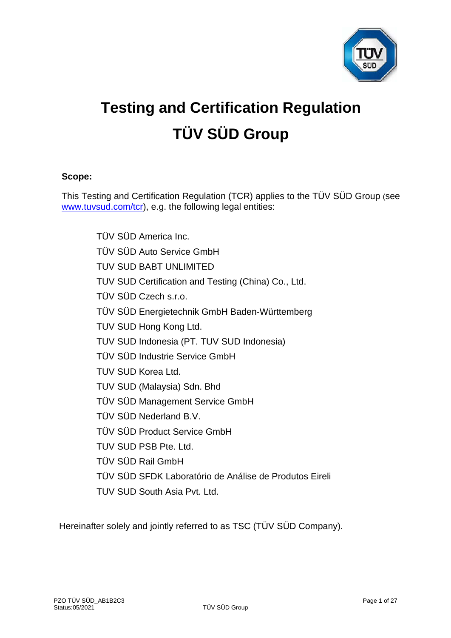

# **Testing and Certification Regulation TÜV SÜD Group**

## **Scope:**

This Testing and Certification Regulation (TCR) applies to the TÜV SÜD Group (see [www.tuvsud.com/tcr\)](http://www.tuvsud.com/tcr), e.g. the following legal entities:

> TÜV SÜD America Inc. TÜV SÜD Auto Service GmbH TUV SUD BABT UNLIMITED TUV SUD Certification and Testing (China) Co., Ltd. TÜV SÜD Czech s.r.o. TÜV SÜD Energietechnik GmbH Baden-Württemberg TUV SUD Hong Kong Ltd. TUV SUD Indonesia (PT. TUV SUD Indonesia) TÜV SÜD Industrie Service GmbH TUV SUD Korea Ltd. TUV SUD (Malaysia) Sdn. Bhd TÜV SÜD Management Service GmbH TÜV SÜD Nederland B.V. TÜV SÜD Product Service GmbH TUV SUD PSB Pte. Ltd. TÜV SÜD Rail GmbH TÜV SÜD SFDK Laboratório de Análise de Produtos Eireli TUV SUD South Asia Pvt. Ltd.

Hereinafter solely and jointly referred to as TSC (TÜV SÜD Company).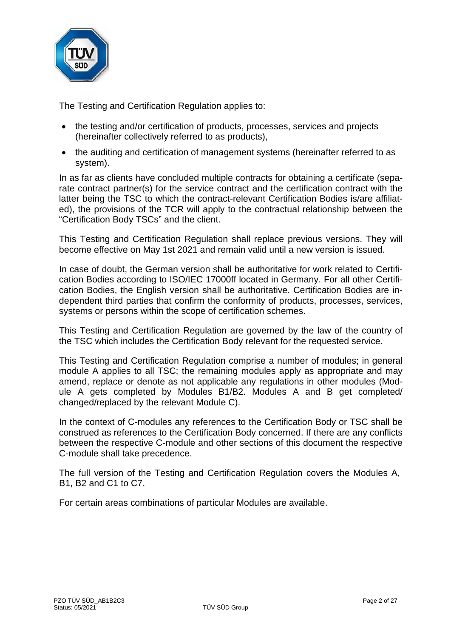

The Testing and Certification Regulation applies to:

- the testing and/or certification of products, processes, services and projects (hereinafter collectively referred to as products),
- the auditing and certification of management systems (hereinafter referred to as system).

In as far as clients have concluded multiple contracts for obtaining a certificate (separate contract partner(s) for the service contract and the certification contract with the latter being the TSC to which the contract-relevant Certification Bodies is/are affiliated), the provisions of the TCR will apply to the contractual relationship between the "Certification Body TSCs" and the client.

This Testing and Certification Regulation shall replace previous versions. They will become effective on May 1st 2021 and remain valid until a new version is issued.

In case of doubt, the German version shall be authoritative for work related to Certification Bodies according to ISO/IEC 17000ff located in Germany. For all other Certification Bodies, the English version shall be authoritative. Certification Bodies are independent third parties that confirm the conformity of products, processes, services, systems or persons within the scope of certification schemes.

This Testing and Certification Regulation are governed by the law of the country of the TSC which includes the Certification Body relevant for the requested service.

This Testing and Certification Regulation comprise a number of modules; in general module A applies to all TSC; the remaining modules apply as appropriate and may amend, replace or denote as not applicable any regulations in other modules (Module A gets completed by Modules B1/B2. Modules A and B get completed/ changed/replaced by the relevant Module C).

In the context of C-modules any references to the Certification Body or TSC shall be construed as references to the Certification Body concerned. If there are any conflicts between the respective C-module and other sections of this document the respective C-module shall take precedence.

The full version of the Testing and Certification Regulation covers the Modules A, B1, B2 and C1 to C7.

For certain areas combinations of particular Modules are available.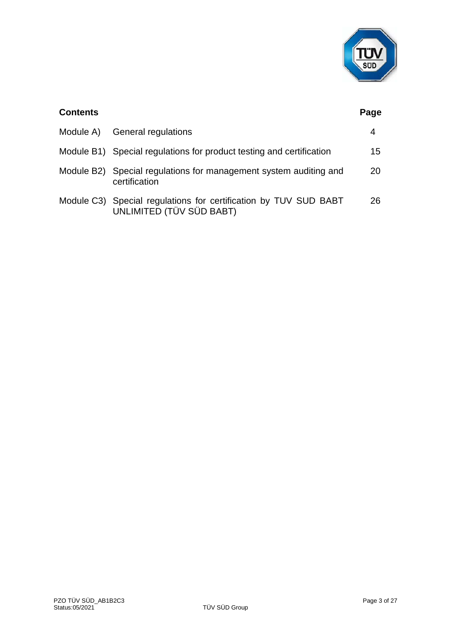

| <b>Contents</b> |                                                                                              | Page |
|-----------------|----------------------------------------------------------------------------------------------|------|
| Module A)       | General regulations                                                                          | 4    |
|                 | Module B1) Special regulations for product testing and certification                         | 15   |
|                 | Module B2) Special regulations for management system auditing and<br>certification           | 20   |
|                 | Module C3) Special regulations for certification by TUV SUD BABT<br>UNLIMITED (TÜV SÜD BABT) | 26   |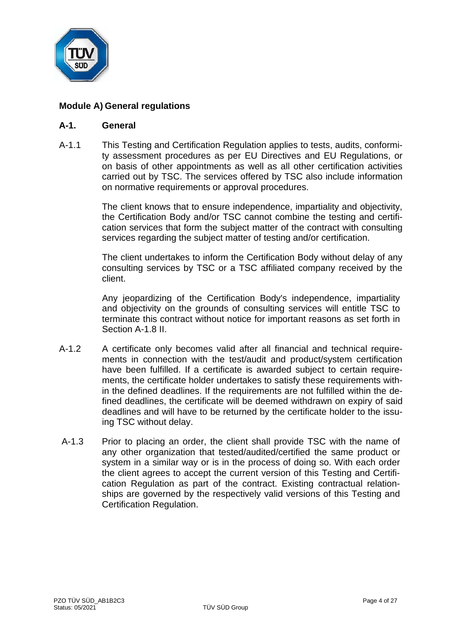

# **Module A) General regulations**

#### **A-1. General**

A-1.1 This Testing and Certification Regulation applies to tests, audits, conformity assessment procedures as per EU Directives and EU Regulations, or on basis of other appointments as well as all other certification activities carried out by TSC. The services offered by TSC also include information on normative requirements or approval procedures.

> The client knows that to ensure independence, impartiality and objectivity, the Certification Body and/or TSC cannot combine the testing and certification services that form the subject matter of the contract with consulting services regarding the subject matter of testing and/or certification.

> The client undertakes to inform the Certification Body without delay of any consulting services by TSC or a TSC affiliated company received by the client.

> Any jeopardizing of the Certification Body's independence, impartiality and objectivity on the grounds of consulting services will entitle TSC to terminate this contract without notice for important reasons as set forth in Section A-1.8 II.

- A-1.2 A certificate only becomes valid after all financial and technical requirements in connection with the test/audit and product/system certification have been fulfilled. If a certificate is awarded subject to certain requirements, the certificate holder undertakes to satisfy these requirements within the defined deadlines. If the requirements are not fulfilled within the defined deadlines, the certificate will be deemed withdrawn on expiry of said deadlines and will have to be returned by the certificate holder to the issuing TSC without delay.
- A-1.3 Prior to placing an order, the client shall provide TSC with the name of any other organization that tested/audited/certified the same product or system in a similar way or is in the process of doing so. With each order the client agrees to accept the current version of this Testing and Certification Regulation as part of the contract. Existing contractual relationships are governed by the respectively valid versions of this Testing and Certification Regulation.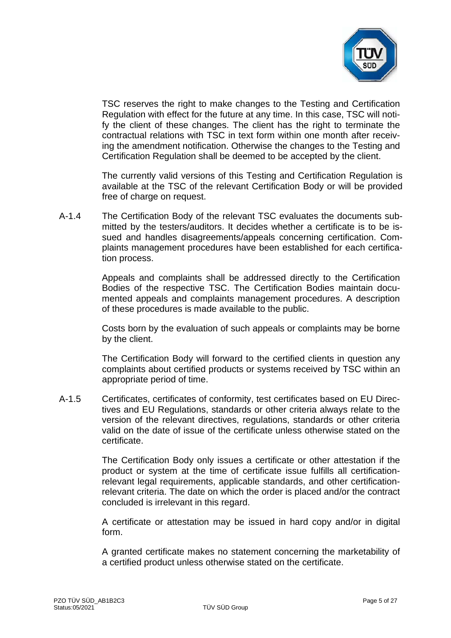

TSC reserves the right to make changes to the Testing and Certification Regulation with effect for the future at any time. In this case, TSC will notify the client of these changes. The client has the right to terminate the contractual relations with TSC in text form within one month after receiving the amendment notification. Otherwise the changes to the Testing and Certification Regulation shall be deemed to be accepted by the client.

The currently valid versions of this Testing and Certification Regulation is available at the TSC of the relevant Certification Body or will be provided free of charge on request.

A-1.4 The Certification Body of the relevant TSC evaluates the documents submitted by the testers/auditors. It decides whether a certificate is to be issued and handles disagreements/appeals concerning certification. Complaints management procedures have been established for each certification process.

> Appeals and complaints shall be addressed directly to the Certification Bodies of the respective TSC. The Certification Bodies maintain documented appeals and complaints management procedures. A description of these procedures is made available to the public.

> Costs born by the evaluation of such appeals or complaints may be borne by the client.

> The Certification Body will forward to the certified clients in question any complaints about certified products or systems received by TSC within an appropriate period of time.

A-1.5 Certificates, certificates of conformity, test certificates based on EU Directives and EU Regulations, standards or other criteria always relate to the version of the relevant directives, regulations, standards or other criteria valid on the date of issue of the certificate unless otherwise stated on the certificate.

> The Certification Body only issues a certificate or other attestation if the product or system at the time of certificate issue fulfills all certificationrelevant legal requirements, applicable standards, and other certificationrelevant criteria. The date on which the order is placed and/or the contract concluded is irrelevant in this regard.

> A certificate or attestation may be issued in hard copy and/or in digital form.

> A granted certificate makes no statement concerning the marketability of a certified product unless otherwise stated on the certificate.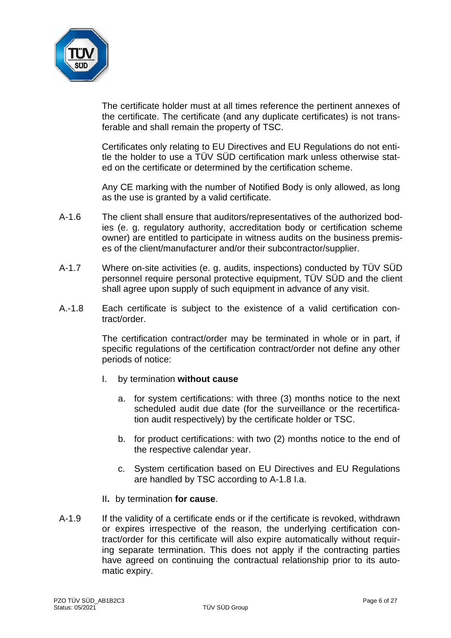

The certificate holder must at all times reference the pertinent annexes of the certificate. The certificate (and any duplicate certificates) is not transferable and shall remain the property of TSC.

Certificates only relating to EU Directives and EU Regulations do not entitle the holder to use a TÜV SÜD certification mark unless otherwise stated on the certificate or determined by the certification scheme.

Any CE marking with the number of Notified Body is only allowed, as long as the use is granted by a valid certificate.

- A-1.6 The client shall ensure that auditors/representatives of the authorized bodies (e. g. regulatory authority, accreditation body or certification scheme owner) are entitled to participate in witness audits on the business premises of the client/manufacturer and/or their subcontractor/supplier.
- A-1.7 Where on-site activities (e. g. audits, inspections) conducted by TÜV SÜD personnel require personal protective equipment, TÜV SÜD and the client shall agree upon supply of such equipment in advance of any visit.
- A.-1.8 Each certificate is subject to the existence of a valid certification contract/order.

The certification contract/order may be terminated in whole or in part, if specific regulations of the certification contract/order not define any other periods of notice:

- I. by termination **without cause**
	- a. for system certifications: with three (3) months notice to the next scheduled audit due date (for the surveillance or the recertification audit respectively) by the certificate holder or TSC.
	- b. for product certifications: with two (2) months notice to the end of the respective calendar year.
	- c. System certification based on EU Directives and EU Regulations are handled by TSC according to A-1.8 I.a.
- II**.** by termination **for cause**.
- A-1.9 If the validity of a certificate ends or if the certificate is revoked, withdrawn or expires irrespective of the reason, the underlying certification contract/order for this certificate will also expire automatically without requiring separate termination. This does not apply if the contracting parties have agreed on continuing the contractual relationship prior to its automatic expiry.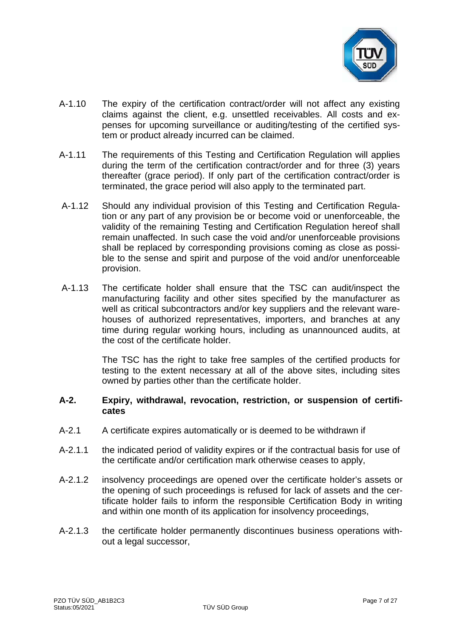

- A-1.10 The expiry of the certification contract/order will not affect any existing claims against the client, e.g. unsettled receivables. All costs and expenses for upcoming surveillance or auditing/testing of the certified system or product already incurred can be claimed.
- A-1.11 The requirements of this Testing and Certification Regulation will applies during the term of the certification contract/order and for three (3) years thereafter (grace period). If only part of the certification contract/order is terminated, the grace period will also apply to the terminated part.
- A-1.12 Should any individual provision of this Testing and Certification Regulation or any part of any provision be or become void or unenforceable, the validity of the remaining Testing and Certification Regulation hereof shall remain unaffected. In such case the void and/or unenforceable provisions shall be replaced by corresponding provisions coming as close as possible to the sense and spirit and purpose of the void and/or unenforceable provision.
- A-1.13 The certificate holder shall ensure that the TSC can audit/inspect the manufacturing facility and other sites specified by the manufacturer as well as critical subcontractors and/or key suppliers and the relevant warehouses of authorized representatives, importers, and branches at any time during regular working hours, including as unannounced audits, at the cost of the certificate holder.

The TSC has the right to take free samples of the certified products for testing to the extent necessary at all of the above sites, including sites owned by parties other than the certificate holder.

#### **A-2. Expiry, withdrawal, revocation, restriction, or suspension of certificates**

- A-2.1 A certificate expires automatically or is deemed to be withdrawn if
- A-2.1.1 the indicated period of validity expires or if the contractual basis for use of the certificate and/or certification mark otherwise ceases to apply,
- A-2.1.2 insolvency proceedings are opened over the certificate holder's assets or the opening of such proceedings is refused for lack of assets and the certificate holder fails to inform the responsible Certification Body in writing and within one month of its application for insolvency proceedings,
- A-2.1.3 the certificate holder permanently discontinues business operations without a legal successor,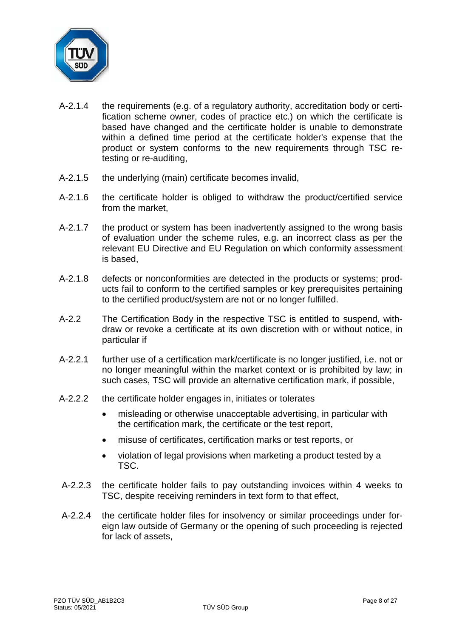

- A-2.1.4 the requirements (e.g. of a regulatory authority, accreditation body or certification scheme owner, codes of practice etc.) on which the certificate is based have changed and the certificate holder is unable to demonstrate within a defined time period at the certificate holder's expense that the product or system conforms to the new requirements through TSC retesting or re-auditing,
- A-2.1.5 the underlying (main) certificate becomes invalid,
- A-2.1.6 the certificate holder is obliged to withdraw the product/certified service from the market,
- A-2.1.7 the product or system has been inadvertently assigned to the wrong basis of evaluation under the scheme rules, e.g. an incorrect class as per the relevant EU Directive and EU Regulation on which conformity assessment is based,
- A-2.1.8 defects or nonconformities are detected in the products or systems; products fail to conform to the certified samples or key prerequisites pertaining to the certified product/system are not or no longer fulfilled.
- A-2.2 The Certification Body in the respective TSC is entitled to suspend, withdraw or revoke a certificate at its own discretion with or without notice, in particular if
- A-2.2.1 further use of a certification mark/certificate is no longer justified, i.e. not or no longer meaningful within the market context or is prohibited by law; in such cases, TSC will provide an alternative certification mark, if possible,
- A-2.2.2 the certificate holder engages in, initiates or tolerates
	- misleading or otherwise unacceptable advertising, in particular with the certification mark, the certificate or the test report,
	- misuse of certificates, certification marks or test reports, or
	- violation of legal provisions when marketing a product tested by a TSC.
- A-2.2.3 the certificate holder fails to pay outstanding invoices within 4 weeks to TSC, despite receiving reminders in text form to that effect,
- A-2.2.4 the certificate holder files for insolvency or similar proceedings under foreign law outside of Germany or the opening of such proceeding is rejected for lack of assets,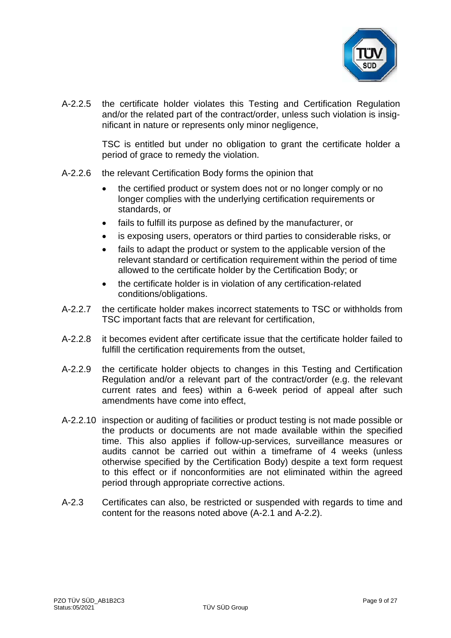

A-2.2.5 the certificate holder violates this Testing and Certification Regulation and/or the related part of the contract/order, unless such violation is insignificant in nature or represents only minor negligence,

> TSC is entitled but under no obligation to grant the certificate holder a period of grace to remedy the violation.

- A-2.2.6 the relevant Certification Body forms the opinion that
	- the certified product or system does not or no longer comply or no longer complies with the underlying certification requirements or standards, or
	- fails to fulfill its purpose as defined by the manufacturer, or
	- is exposing users, operators or third parties to considerable risks, or
	- fails to adapt the product or system to the applicable version of the relevant standard or certification requirement within the period of time allowed to the certificate holder by the Certification Body; or
	- the certificate holder is in violation of any certification-related conditions/obligations.
- A-2.2.7 the certificate holder makes incorrect statements to TSC or withholds from TSC important facts that are relevant for certification,
- A-2.2.8 it becomes evident after certificate issue that the certificate holder failed to fulfill the certification requirements from the outset,
- A-2.2.9 the certificate holder objects to changes in this Testing and Certification Regulation and/or a relevant part of the contract/order (e.g. the relevant current rates and fees) within a 6-week period of appeal after such amendments have come into effect,
- A-2.2.10 inspection or auditing of facilities or product testing is not made possible or the products or documents are not made available within the specified time. This also applies if follow-up-services, surveillance measures or audits cannot be carried out within a timeframe of 4 weeks (unless otherwise specified by the Certification Body) despite a text form request to this effect or if nonconformities are not eliminated within the agreed period through appropriate corrective actions.
- A-2.3 Certificates can also, be restricted or suspended with regards to time and content for the reasons noted above (A-2.1 and A-2.2).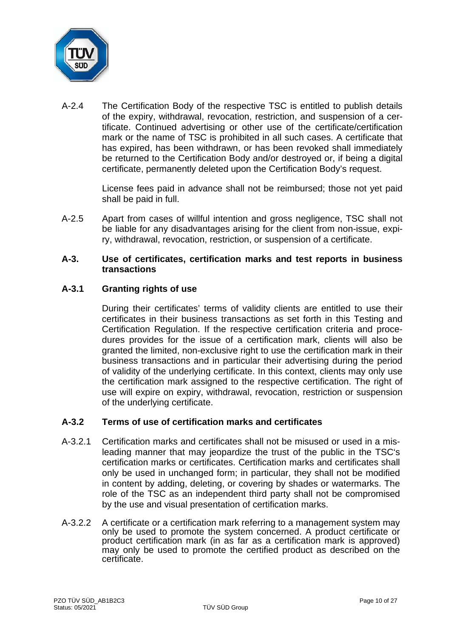

A-2.4 The Certification Body of the respective TSC is entitled to publish details of the expiry, withdrawal, revocation, restriction, and suspension of a certificate. Continued advertising or other use of the certificate/certification mark or the name of TSC is prohibited in all such cases. A certificate that has expired, has been withdrawn, or has been revoked shall immediately be returned to the Certification Body and/or destroyed or, if being a digital certificate, permanently deleted upon the Certification Body's request.

> License fees paid in advance shall not be reimbursed; those not yet paid shall be paid in full.

A-2.5 Apart from cases of willful intention and gross negligence, TSC shall not be liable for any disadvantages arising for the client from non-issue, expiry, withdrawal, revocation, restriction, or suspension of a certificate.

#### **A-3. Use of certificates, certification marks and test reports in business transactions**

## **A-3.1 Granting rights of use**

During their certificates' terms of validity clients are entitled to use their certificates in their business transactions as set forth in this Testing and Certification Regulation. If the respective certification criteria and procedures provides for the issue of a certification mark, clients will also be granted the limited, non-exclusive right to use the certification mark in their business transactions and in particular their advertising during the period of validity of the underlying certificate. In this context, clients may only use the certification mark assigned to the respective certification. The right of use will expire on expiry, withdrawal, revocation, restriction or suspension of the underlying certificate.

## **A-3.2 Terms of use of certification marks and certificates**

- A-3.2.1 Certification marks and certificates shall not be misused or used in a misleading manner that may jeopardize the trust of the public in the TSC's certification marks or certificates. Certification marks and certificates shall only be used in unchanged form; in particular, they shall not be modified in content by adding, deleting, or covering by shades or watermarks. The role of the TSC as an independent third party shall not be compromised by the use and visual presentation of certification marks.
- A-3.2.2 A certificate or a certification mark referring to a management system may only be used to promote the system concerned. A product certificate or product certification mark (in as far as a certification mark is approved) may only be used to promote the certified product as described on the certificate.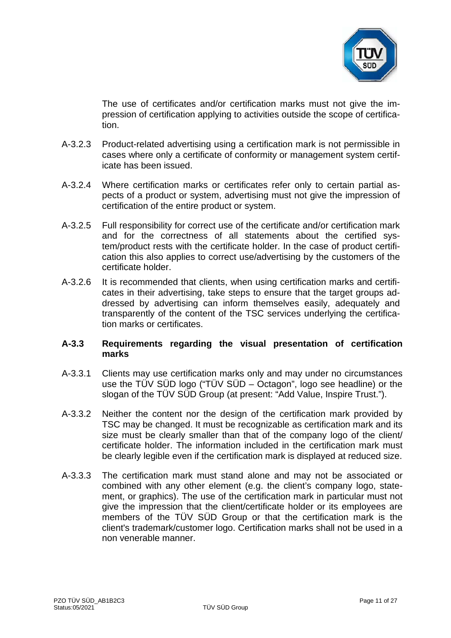

The use of certificates and/or certification marks must not give the impression of certification applying to activities outside the scope of certification.

- A-3.2.3 Product-related advertising using a certification mark is not permissible in cases where only a certificate of conformity or management system certificate has been issued.
- A-3.2.4 Where certification marks or certificates refer only to certain partial aspects of a product or system, advertising must not give the impression of certification of the entire product or system.
- A-3.2.5 Full responsibility for correct use of the certificate and/or certification mark and for the correctness of all statements about the certified system/product rests with the certificate holder. In the case of product certification this also applies to correct use/advertising by the customers of the certificate holder.
- A-3.2.6 It is recommended that clients, when using certification marks and certificates in their advertising, take steps to ensure that the target groups addressed by advertising can inform themselves easily, adequately and transparently of the content of the TSC services underlying the certification marks or certificates.

## **A-3.3 Requirements regarding the visual presentation of certification marks**

- A-3.3.1 Clients may use certification marks only and may under no circumstances use the TÜV SÜD logo ("TÜV SÜD – Octagon", logo see headline) or the slogan of the TÜV SÜD Group (at present: "Add Value, Inspire Trust.").
- A-3.3.2 Neither the content nor the design of the certification mark provided by TSC may be changed. It must be recognizable as certification mark and its size must be clearly smaller than that of the company logo of the client/ certificate holder. The information included in the certification mark must be clearly legible even if the certification mark is displayed at reduced size.
- A-3.3.3 The certification mark must stand alone and may not be associated or combined with any other element (e.g. the client's company logo, statement, or graphics). The use of the certification mark in particular must not give the impression that the client/certificate holder or its employees are members of the TÜV SÜD Group or that the certification mark is the client's trademark/customer logo. Certification marks shall not be used in a non venerable manner.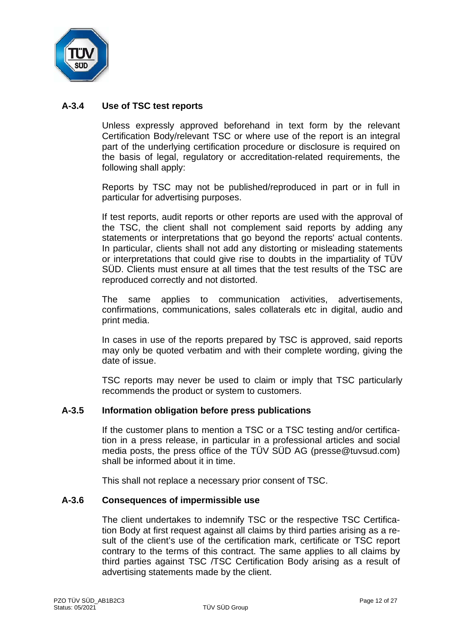

## **A-3.4 Use of TSC test reports**

Unless expressly approved beforehand in text form by the relevant Certification Body/relevant TSC or where use of the report is an integral part of the underlying certification procedure or disclosure is required on the basis of legal, regulatory or accreditation-related requirements, the following shall apply:

Reports by TSC may not be published/reproduced in part or in full in particular for advertising purposes.

If test reports, audit reports or other reports are used with the approval of the TSC, the client shall not complement said reports by adding any statements or interpretations that go beyond the reports' actual contents. In particular, clients shall not add any distorting or misleading statements or interpretations that could give rise to doubts in the impartiality of TÜV SÜD. Clients must ensure at all times that the test results of the TSC are reproduced correctly and not distorted.

The same applies to communication activities, advertisements, confirmations, communications, sales collaterals etc in digital, audio and print media.

In cases in use of the reports prepared by TSC is approved, said reports may only be quoted verbatim and with their complete wording, giving the date of issue.

TSC reports may never be used to claim or imply that TSC particularly recommends the product or system to customers.

#### **A-3.5 Information obligation before press publications**

If the customer plans to mention a TSC or a TSC testing and/or certification in a press release, in particular in a professional articles and social media posts, the press office of the TÜV SÜD AG (presse@tuvsud.com) shall be informed about it in time.

This shall not replace a necessary prior consent of TSC.

#### **A-3.6 Consequences of impermissible use**

The client undertakes to indemnify TSC or the respective TSC Certification Body at first request against all claims by third parties arising as a result of the client's use of the certification mark, certificate or TSC report contrary to the terms of this contract. The same applies to all claims by third parties against TSC /TSC Certification Body arising as a result of advertising statements made by the client.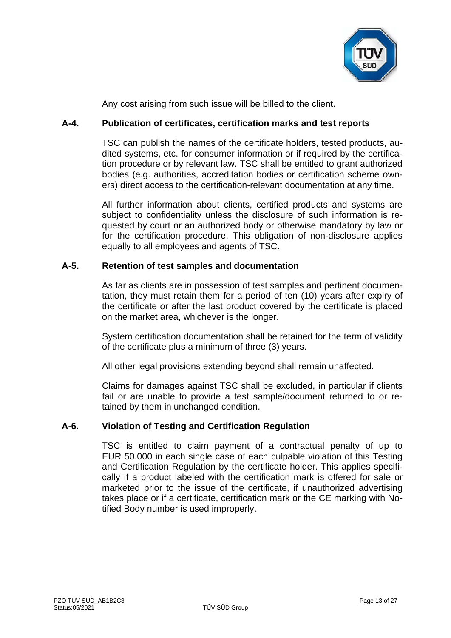

Any cost arising from such issue will be billed to the client.

## **A-4. Publication of certificates, certification marks and test reports**

TSC can publish the names of the certificate holders, tested products, audited systems, etc. for consumer information or if required by the certification procedure or by relevant law. TSC shall be entitled to grant authorized bodies (e.g. authorities, accreditation bodies or certification scheme owners) direct access to the certification-relevant documentation at any time.

All further information about clients, certified products and systems are subject to confidentiality unless the disclosure of such information is requested by court or an authorized body or otherwise mandatory by law or for the certification procedure. This obligation of non-disclosure applies equally to all employees and agents of TSC.

## **A-5. Retention of test samples and documentation**

As far as clients are in possession of test samples and pertinent documentation, they must retain them for a period of ten (10) years after expiry of the certificate or after the last product covered by the certificate is placed on the market area, whichever is the longer.

System certification documentation shall be retained for the term of validity of the certificate plus a minimum of three (3) years.

All other legal provisions extending beyond shall remain unaffected.

Claims for damages against TSC shall be excluded, in particular if clients fail or are unable to provide a test sample/document returned to or retained by them in unchanged condition.

## **A-6. Violation of Testing and Certification Regulation**

TSC is entitled to claim payment of a contractual penalty of up to EUR 50.000 in each single case of each culpable violation of this Testing and Certification Regulation by the certificate holder. This applies specifically if a product labeled with the certification mark is offered for sale or marketed prior to the issue of the certificate, if unauthorized advertising takes place or if a certificate, certification mark or the CE marking with Notified Body number is used improperly.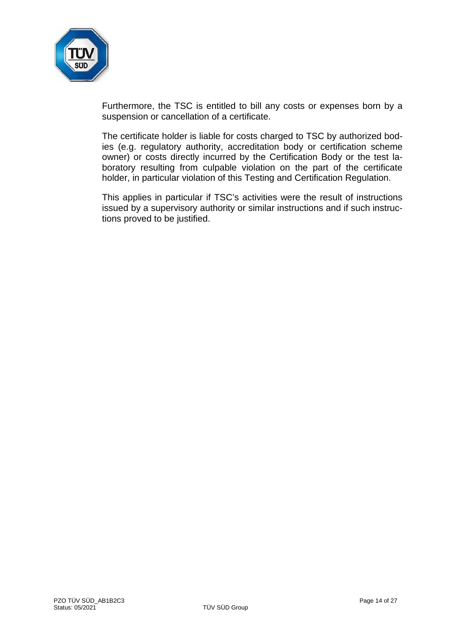

Furthermore, the TSC is entitled to bill any costs or expenses born by a suspension or cancellation of a certificate.

The certificate holder is liable for costs charged to TSC by authorized bodies (e.g. regulatory authority, accreditation body or certification scheme owner) or costs directly incurred by the Certification Body or the test laboratory resulting from culpable violation on the part of the certificate holder, in particular violation of this Testing and Certification Regulation.

This applies in particular if TSC's activities were the result of instructions issued by a supervisory authority or similar instructions and if such instructions proved to be justified.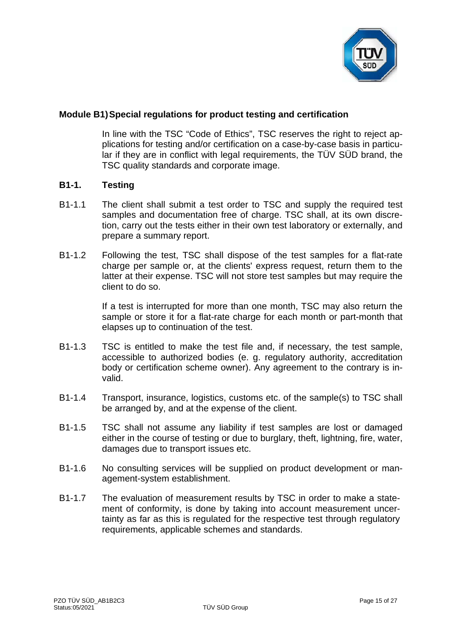

## **Module B1)Special regulations for product testing and certification**

In line with the TSC "Code of Ethics", TSC reserves the right to reject applications for testing and/or certification on a case-by-case basis in particular if they are in conflict with legal requirements, the TÜV SÜD brand, the TSC quality standards and corporate image.

#### **B1-1. Testing**

- B1-1.1 The client shall submit a test order to TSC and supply the required test samples and documentation free of charge. TSC shall, at its own discretion, carry out the tests either in their own test laboratory or externally, and prepare a summary report.
- B1-1.2 Following the test, TSC shall dispose of the test samples for a flat-rate charge per sample or, at the clients' express request, return them to the latter at their expense. TSC will not store test samples but may require the client to do so.

If a test is interrupted for more than one month, TSC may also return the sample or store it for a flat-rate charge for each month or part-month that elapses up to continuation of the test.

- B1-1.3 TSC is entitled to make the test file and, if necessary, the test sample, accessible to authorized bodies (e. g. regulatory authority, accreditation body or certification scheme owner). Any agreement to the contrary is invalid.
- B1-1.4 Transport, insurance, logistics, customs etc. of the sample(s) to TSC shall be arranged by, and at the expense of the client.
- B1-1.5 TSC shall not assume any liability if test samples are lost or damaged either in the course of testing or due to burglary, theft, lightning, fire, water, damages due to transport issues etc.
- B1-1.6 No consulting services will be supplied on product development or management-system establishment.
- B1-1.7 The evaluation of measurement results by TSC in order to make a statement of conformity, is done by taking into account measurement uncertainty as far as this is regulated for the respective test through regulatory requirements, applicable schemes and standards.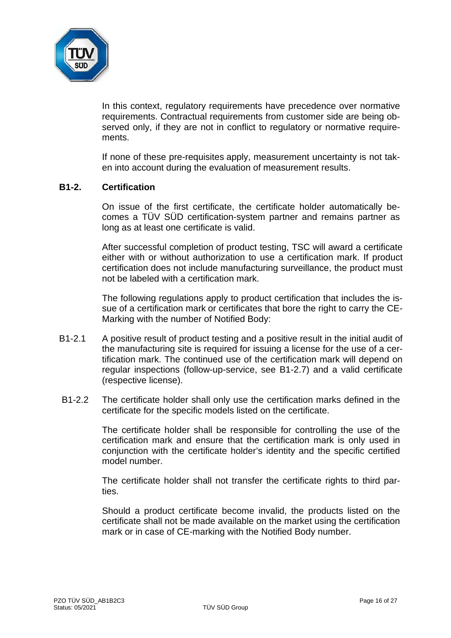

In this context, regulatory requirements have precedence over normative requirements. Contractual requirements from customer side are being observed only, if they are not in conflict to regulatory or normative requirements.

If none of these pre-requisites apply, measurement uncertainty is not taken into account during the evaluation of measurement results.

#### **B1-2. Certification**

On issue of the first certificate, the certificate holder automatically becomes a TÜV SÜD certification-system partner and remains partner as long as at least one certificate is valid.

After successful completion of product testing, TSC will award a certificate either with or without authorization to use a certification mark. If product certification does not include manufacturing surveillance, the product must not be labeled with a certification mark.

The following regulations apply to product certification that includes the issue of a certification mark or certificates that bore the right to carry the CE-Marking with the number of Notified Body:

- B1-2.1 A positive result of product testing and a positive result in the initial audit of the manufacturing site is required for issuing a license for the use of a certification mark. The continued use of the certification mark will depend on regular inspections (follow-up-service, see B1-2.7) and a valid certificate (respective license).
- B1-2.2 The certificate holder shall only use the certification marks defined in the certificate for the specific models listed on the certificate.

The certificate holder shall be responsible for controlling the use of the certification mark and ensure that the certification mark is only used in conjunction with the certificate holder's identity and the specific certified model number.

The certificate holder shall not transfer the certificate rights to third parties.

Should a product certificate become invalid, the products listed on the certificate shall not be made available on the market using the certification mark or in case of CE-marking with the Notified Body number.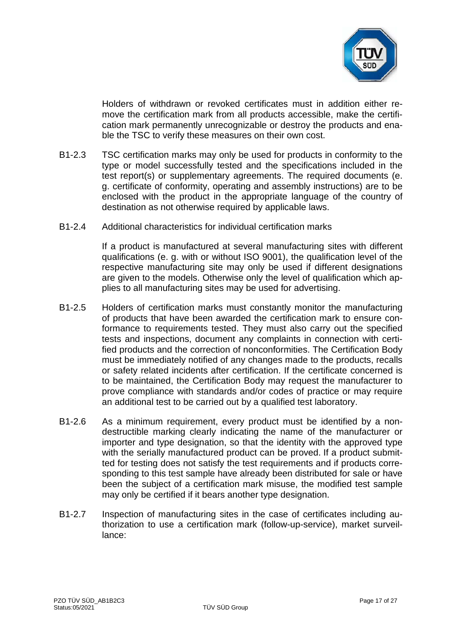

Holders of withdrawn or revoked certificates must in addition either remove the certification mark from all products accessible, make the certification mark permanently unrecognizable or destroy the products and enable the TSC to verify these measures on their own cost.

- B1-2.3 TSC certification marks may only be used for products in conformity to the type or model successfully tested and the specifications included in the test report(s) or supplementary agreements. The required documents (e. g. certificate of conformity, operating and assembly instructions) are to be enclosed with the product in the appropriate language of the country of destination as not otherwise required by applicable laws.
- B1-2.4 Additional characteristics for individual certification marks

If a product is manufactured at several manufacturing sites with different qualifications (e. g. with or without ISO 9001), the qualification level of the respective manufacturing site may only be used if different designations are given to the models. Otherwise only the level of qualification which applies to all manufacturing sites may be used for advertising.

- B1-2.5 Holders of certification marks must constantly monitor the manufacturing of products that have been awarded the certification mark to ensure conformance to requirements tested. They must also carry out the specified tests and inspections, document any complaints in connection with certified products and the correction of nonconformities. The Certification Body must be immediately notified of any changes made to the products, recalls or safety related incidents after certification. If the certificate concerned is to be maintained, the Certification Body may request the manufacturer to prove compliance with standards and/or codes of practice or may require an additional test to be carried out by a qualified test laboratory.
- B1-2.6 As a minimum requirement, every product must be identified by a nondestructible marking clearly indicating the name of the manufacturer or importer and type designation, so that the identity with the approved type with the serially manufactured product can be proved. If a product submitted for testing does not satisfy the test requirements and if products corresponding to this test sample have already been distributed for sale or have been the subject of a certification mark misuse, the modified test sample may only be certified if it bears another type designation.
- B1-2.7 Inspection of manufacturing sites in the case of certificates including authorization to use a certification mark (follow-up-service), market surveillance: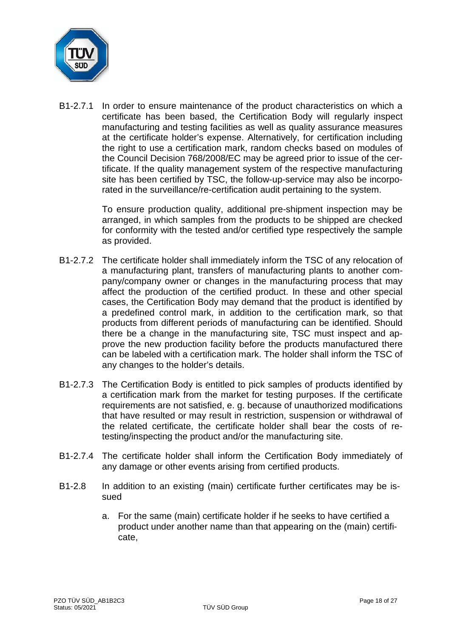

B1-2.7.1 In order to ensure maintenance of the product characteristics on which a certificate has been based, the Certification Body will regularly inspect manufacturing and testing facilities as well as quality assurance measures at the certificate holder's expense. Alternatively, for certification including the right to use a certification mark, random checks based on modules of the Council Decision 768/2008/EC may be agreed prior to issue of the certificate. If the quality management system of the respective manufacturing site has been certified by TSC, the follow-up-service may also be incorporated in the surveillance/re-certification audit pertaining to the system.

> To ensure production quality, additional pre-shipment inspection may be arranged, in which samples from the products to be shipped are checked for conformity with the tested and/or certified type respectively the sample as provided.

- B1-2.7.2 The certificate holder shall immediately inform the TSC of any relocation of a manufacturing plant, transfers of manufacturing plants to another company/company owner or changes in the manufacturing process that may affect the production of the certified product. In these and other special cases, the Certification Body may demand that the product is identified by a predefined control mark, in addition to the certification mark, so that products from different periods of manufacturing can be identified. Should there be a change in the manufacturing site, TSC must inspect and approve the new production facility before the products manufactured there can be labeled with a certification mark. The holder shall inform the TSC of any changes to the holder's details.
- B1-2.7.3 The Certification Body is entitled to pick samples of products identified by a certification mark from the market for testing purposes. If the certificate requirements are not satisfied, e. g. because of unauthorized modifications that have resulted or may result in restriction, suspension or withdrawal of the related certificate, the certificate holder shall bear the costs of retesting/inspecting the product and/or the manufacturing site.
- B1-2.7.4 The certificate holder shall inform the Certification Body immediately of any damage or other events arising from certified products.
- B1-2.8 In addition to an existing (main) certificate further certificates may be issued
	- a. For the same (main) certificate holder if he seeks to have certified a product under another name than that appearing on the (main) certificate,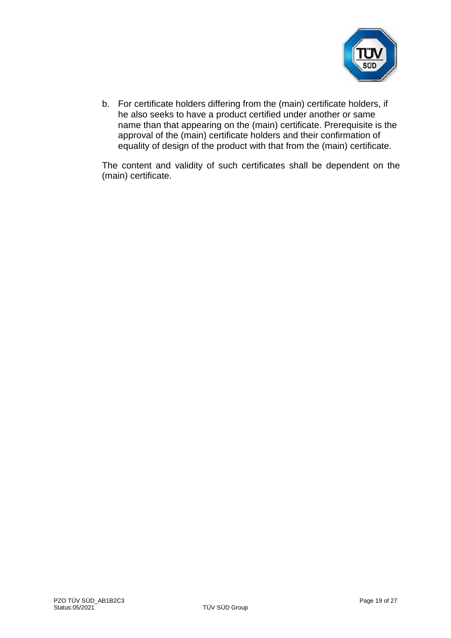

b. For certificate holders differing from the (main) certificate holders, if he also seeks to have a product certified under another or same name than that appearing on the (main) certificate. Prerequisite is the approval of the (main) certificate holders and their confirmation of equality of design of the product with that from the (main) certificate.

The content and validity of such certificates shall be dependent on the (main) certificate.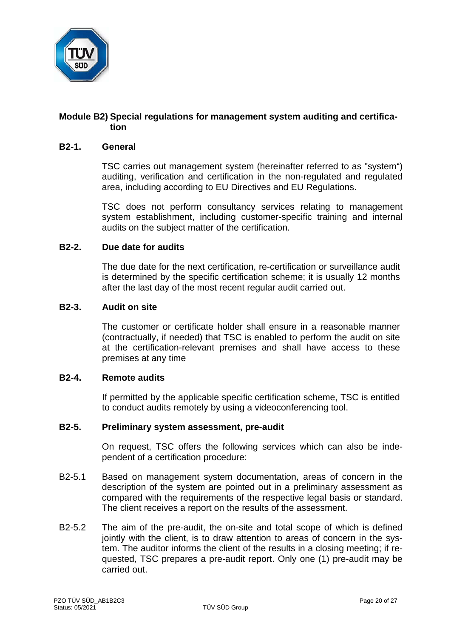

## **Module B2) Special regulations for management system auditing and certification**

#### **B2-1. General**

TSC carries out management system (hereinafter referred to as "system") auditing, verification and certification in the non-regulated and regulated area, including according to EU Directives and EU Regulations.

TSC does not perform consultancy services relating to management system establishment, including customer-specific training and internal audits on the subject matter of the certification.

#### **B2-2. Due date for audits**

The due date for the next certification, re-certification or surveillance audit is determined by the specific certification scheme; it is usually 12 months after the last day of the most recent regular audit carried out.

#### **B2-3. Audit on site**

The customer or certificate holder shall ensure in a reasonable manner (contractually, if needed) that TSC is enabled to perform the audit on site at the certification-relevant premises and shall have access to these premises at any time

#### **B2-4. Remote audits**

If permitted by the applicable specific certification scheme, TSC is entitled to conduct audits remotely by using a videoconferencing tool.

# **B2-5. Preliminary system assessment, pre-audit**

On request, TSC offers the following services which can also be independent of a certification procedure:

- B2-5.1 Based on management system documentation, areas of concern in the description of the system are pointed out in a preliminary assessment as compared with the requirements of the respective legal basis or standard. The client receives a report on the results of the assessment.
- B2-5.2 The aim of the pre-audit, the on-site and total scope of which is defined jointly with the client, is to draw attention to areas of concern in the system. The auditor informs the client of the results in a closing meeting; if requested, TSC prepares a pre-audit report. Only one (1) pre-audit may be carried out.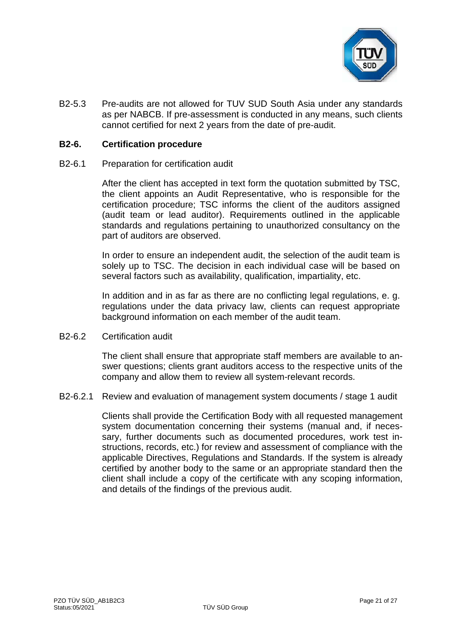

B2-5.3 Pre-audits are not allowed for TUV SUD South Asia under any standards as per NABCB. If pre-assessment is conducted in any means, such clients cannot certified for next 2 years from the date of pre-audit.

#### **B2-6. Certification procedure**

B2-6.1 Preparation for certification audit

After the client has accepted in text form the quotation submitted by TSC, the client appoints an Audit Representative, who is responsible for the certification procedure; TSC informs the client of the auditors assigned (audit team or lead auditor). Requirements outlined in the applicable standards and regulations pertaining to unauthorized consultancy on the part of auditors are observed.

In order to ensure an independent audit, the selection of the audit team is solely up to TSC. The decision in each individual case will be based on several factors such as availability, qualification, impartiality, etc.

In addition and in as far as there are no conflicting legal regulations, e. g. regulations under the data privacy law, clients can request appropriate background information on each member of the audit team.

B2-6.2 Certification audit

The client shall ensure that appropriate staff members are available to answer questions; clients grant auditors access to the respective units of the company and allow them to review all system-relevant records.

B2-6.2.1 Review and evaluation of management system documents / stage 1 audit

Clients shall provide the Certification Body with all requested management system documentation concerning their systems (manual and, if necessary, further documents such as documented procedures, work test instructions, records, etc.) for review and assessment of compliance with the applicable Directives, Regulations and Standards. If the system is already certified by another body to the same or an appropriate standard then the client shall include a copy of the certificate with any scoping information, and details of the findings of the previous audit.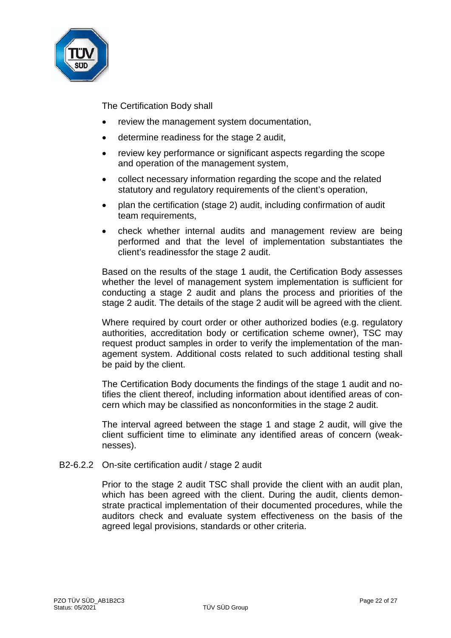

The Certification Body shall

- review the management system documentation,
- determine readiness for the stage 2 audit,
- review key performance or significant aspects regarding the scope and operation of the management system,
- collect necessary information regarding the scope and the related statutory and regulatory requirements of the client's operation,
- plan the certification (stage 2) audit, including confirmation of audit team requirements,
- check whether internal audits and management review are being performed and that the level of implementation substantiates the client's readinessfor the stage 2 audit.

Based on the results of the stage 1 audit, the Certification Body assesses whether the level of management system implementation is sufficient for conducting a stage 2 audit and plans the process and priorities of the stage 2 audit. The details of the stage 2 audit will be agreed with the client.

Where required by court order or other authorized bodies (e.g. regulatory authorities, accreditation body or certification scheme owner), TSC may request product samples in order to verify the implementation of the management system. Additional costs related to such additional testing shall be paid by the client.

The Certification Body documents the findings of the stage 1 audit and notifies the client thereof, including information about identified areas of concern which may be classified as nonconformities in the stage 2 audit.

The interval agreed between the stage 1 and stage 2 audit, will give the client sufficient time to eliminate any identified areas of concern (weaknesses).

B2-6.2.2 On-site certification audit / stage 2 audit

Prior to the stage 2 audit TSC shall provide the client with an audit plan, which has been agreed with the client. During the audit, clients demonstrate practical implementation of their documented procedures, while the auditors check and evaluate system effectiveness on the basis of the agreed legal provisions, standards or other criteria.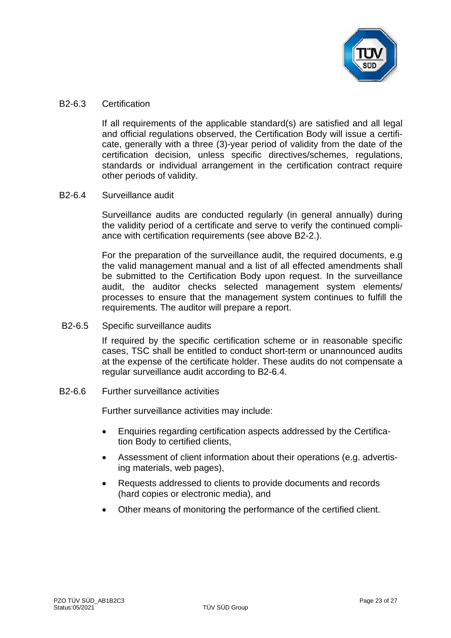

#### B2-6.3 Certification

If all requirements of the applicable standard(s) are satisfied and all legal and official regulations observed, the Certification Body will issue a certificate, generally with a three (3)-year period of validity from the date of the certification decision, unless specific directives/schemes, regulations, standards or individual arrangement in the certification contract require other periods of validity.

## B2-6.4 Surveillance audit

Surveillance audits are conducted regularly (in general annually) during the validity period of a certificate and serve to verify the continued compliance with certification requirements (see above B2-2.).

For the preparation of the surveillance audit, the required documents, e.g the valid management manual and a list of all effected amendments shall be submitted to the Certification Body upon request. In the surveillance audit, the auditor checks selected management system elements/ processes to ensure that the management system continues to fulfill the requirements. The auditor will prepare a report.

B2-6.5 Specific surveillance audits

If required by the specific certification scheme or in reasonable specific cases, TSC shall be entitled to conduct short-term or unannounced audits at the expense of the certificate holder. These audits do not compensate a regular surveillance audit according to B2-6.4.

B2-6.6 Further surveillance activities

Further surveillance activities may include:

- Enquiries regarding certification aspects addressed by the Certification Body to certified clients,
- Assessment of client information about their operations (e.g. advertising materials, web pages),
- Requests addressed to clients to provide documents and records (hard copies or electronic media), and
- Other means of monitoring the performance of the certified client.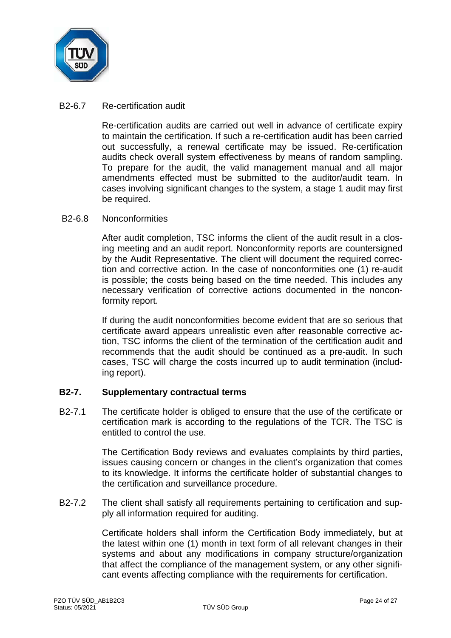

#### B2-6.7 Re-certification audit

Re-certification audits are carried out well in advance of certificate expiry to maintain the certification. If such a re-certification audit has been carried out successfully, a renewal certificate may be issued. Re-certification audits check overall system effectiveness by means of random sampling. To prepare for the audit, the valid management manual and all major amendments effected must be submitted to the auditor/audit team. In cases involving significant changes to the system, a stage 1 audit may first be required.

#### B2-6.8 Nonconformities

After audit completion, TSC informs the client of the audit result in a closing meeting and an audit report. Nonconformity reports are countersigned by the Audit Representative. The client will document the required correction and corrective action. In the case of nonconformities one (1) re-audit is possible; the costs being based on the time needed. This includes any necessary verification of corrective actions documented in the nonconformity report.

If during the audit nonconformities become evident that are so serious that certificate award appears unrealistic even after reasonable corrective action, TSC informs the client of the termination of the certification audit and recommends that the audit should be continued as a pre-audit. In such cases, TSC will charge the costs incurred up to audit termination (including report).

## **B2-7. Supplementary contractual terms**

B2-7.1 The certificate holder is obliged to ensure that the use of the certificate or certification mark is according to the regulations of the TCR. The TSC is entitled to control the use.

> The Certification Body reviews and evaluates complaints by third parties, issues causing concern or changes in the client's organization that comes to its knowledge. It informs the certificate holder of substantial changes to the certification and surveillance procedure.

B2-7.2 The client shall satisfy all requirements pertaining to certification and supply all information required for auditing.

> Certificate holders shall inform the Certification Body immediately, but at the latest within one (1) month in text form of all relevant changes in their systems and about any modifications in company structure/organization that affect the compliance of the management system, or any other significant events affecting compliance with the requirements for certification.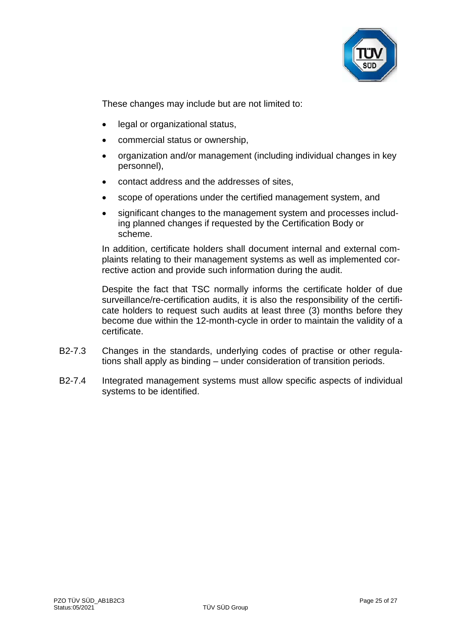

These changes may include but are not limited to:

- legal or organizational status,
- commercial status or ownership,
- organization and/or management (including individual changes in key personnel),
- contact address and the addresses of sites,
- scope of operations under the certified management system, and
- significant changes to the management system and processes including planned changes if requested by the Certification Body or scheme.

In addition, certificate holders shall document internal and external complaints relating to their management systems as well as implemented corrective action and provide such information during the audit.

Despite the fact that TSC normally informs the certificate holder of due surveillance/re-certification audits, it is also the responsibility of the certificate holders to request such audits at least three (3) months before they become due within the 12-month-cycle in order to maintain the validity of a certificate.

- B2-7.3 Changes in the standards, underlying codes of practise or other regulations shall apply as binding – under consideration of transition periods.
- B2-7.4 Integrated management systems must allow specific aspects of individual systems to be identified.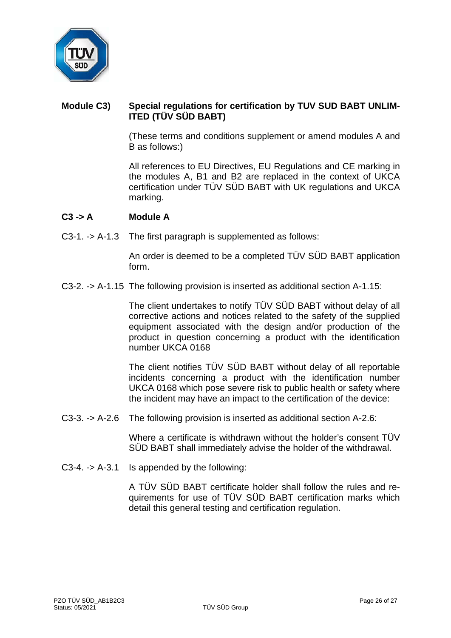

# **Module C3) Special regulations for certification by TUV SUD BABT UNLIM-ITED (TÜV SÜD BABT)**

(These terms and conditions supplement or amend modules A and B as follows:)

All references to EU Directives, EU Regulations and CE marking in the modules A, B1 and B2 are replaced in the context of UKCA certification under TÜV SÜD BABT with UK regulations and UKCA marking.

#### **C3 -> A Module A**

C3-1. -> A-1.3 The first paragraph is supplemented as follows:

An order is deemed to be a completed TÜV SÜD BABT application form.

C3-2. -> A-1.15 The following provision is inserted as additional section A-1.15:

The client undertakes to notify TÜV SÜD BABT without delay of all corrective actions and notices related to the safety of the supplied equipment associated with the design and/or production of the product in question concerning a product with the identification number UKCA 0168

The client notifies TÜV SÜD BABT without delay of all reportable incidents concerning a product with the identification number UKCA 0168 which pose severe risk to public health or safety where the incident may have an impact to the certification of the device:

C3-3. -> A-2.6 The following provision is inserted as additional section A-2.6:

Where a certificate is withdrawn without the holder's consent TÜV SÜD BABT shall immediately advise the holder of the withdrawal.

C3-4. -> A-3.1 Is appended by the following:

A TÜV SÜD BABT certificate holder shall follow the rules and requirements for use of TÜV SÜD BABT certification marks which detail this general testing and certification regulation.